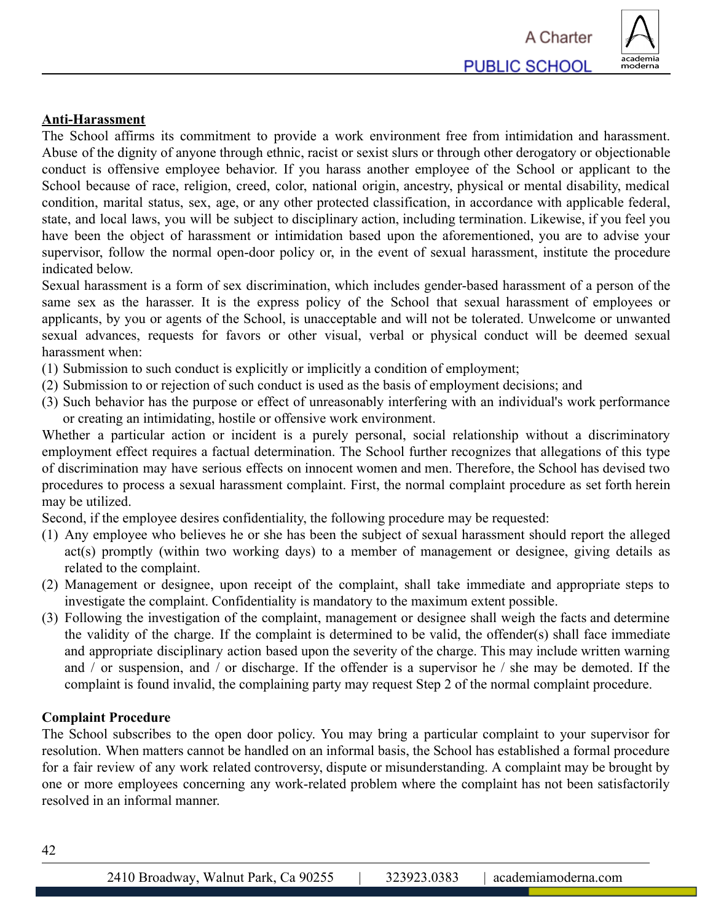

## **Anti-Harassment**

The School affirms its commitment to provide a work environment free from intimidation and harassment. Abuse of the dignity of anyone through ethnic, racist or sexist slurs or through other derogatory or objectionable conduct is offensive employee behavior. If you harass another employee of the School or applicant to the School because of race, religion, creed, color, national origin, ancestry, physical or mental disability, medical condition, marital status, sex, age, or any other protected classification, in accordance with applicable federal, state, and local laws, you will be subject to disciplinary action, including termination. Likewise, if you feel you have been the object of harassment or intimidation based upon the aforementioned, you are to advise your supervisor, follow the normal open-door policy or, in the event of sexual harassment, institute the procedure indicated below.

Sexual harassment is a form of sex discrimination, which includes gender-based harassment of a person of the same sex as the harasser. It is the express policy of the School that sexual harassment of employees or applicants, by you or agents of the School, is unacceptable and will not be tolerated. Unwelcome or unwanted sexual advances, requests for favors or other visual, verbal or physical conduct will be deemed sexual harassment when:

- (1) Submission to such conduct is explicitly or implicitly a condition of employment;
- (2) Submission to or rejection of such conduct is used as the basis of employment decisions; and
- (3) Such behavior has the purpose or effect of unreasonably interfering with an individual's work performance or creating an intimidating, hostile or offensive work environment.

Whether a particular action or incident is a purely personal, social relationship without a discriminatory employment effect requires a factual determination. The School further recognizes that allegations of this type of discrimination may have serious effects on innocent women and men. Therefore, the School has devised two procedures to process a sexual harassment complaint. First, the normal complaint procedure as set forth herein may be utilized.

Second, if the employee desires confidentiality, the following procedure may be requested:

- (1) Any employee who believes he or she has been the subject of sexual harassment should report the alleged act(s) promptly (within two working days) to a member of management or designee, giving details as related to the complaint.
- (2) Management or designee, upon receipt of the complaint, shall take immediate and appropriate steps to investigate the complaint. Confidentiality is mandatory to the maximum extent possible.
- (3) Following the investigation of the complaint, management or designee shall weigh the facts and determine the validity of the charge. If the complaint is determined to be valid, the offender(s) shall face immediate and appropriate disciplinary action based upon the severity of the charge. This may include written warning and / or suspension, and / or discharge. If the offender is a supervisor he / she may be demoted. If the complaint is found invalid, the complaining party may request Step 2 of the normal complaint procedure.

#### **Complaint Procedure**

The School subscribes to the open door policy. You may bring a particular complaint to your supervisor for resolution. When matters cannot be handled on an informal basis, the School has established a formal procedure for a fair review of any work related controversy, dispute or misunderstanding. A complaint may be brought by one or more employees concerning any work-related problem where the complaint has not been satisfactorily resolved in an informal manner.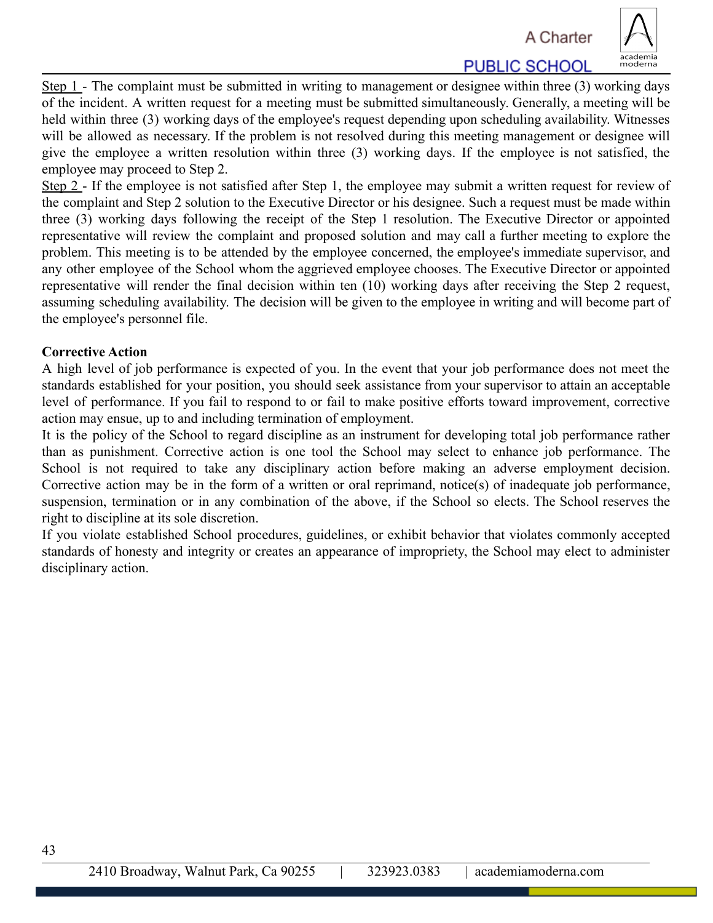A Charter



**PUBLIC SCHOOL** 

Step 1 - The complaint must be submitted in writing to management or designee within three (3) working days of the incident. A written request for a meeting must be submitted simultaneously. Generally, a meeting will be held within three (3) working days of the employee's request depending upon scheduling availability. Witnesses will be allowed as necessary. If the problem is not resolved during this meeting management or designee will give the employee a written resolution within three (3) working days. If the employee is not satisfied, the employee may proceed to Step 2.

Step 2 - If the employee is not satisfied after Step 1, the employee may submit a written request for review of the complaint and Step 2 solution to the Executive Director or his designee. Such a request must be made within three (3) working days following the receipt of the Step 1 resolution. The Executive Director or appointed representative will review the complaint and proposed solution and may call a further meeting to explore the problem. This meeting is to be attended by the employee concerned, the employee's immediate supervisor, and any other employee of the School whom the aggrieved employee chooses. The Executive Director or appointed representative will render the final decision within ten (10) working days after receiving the Step 2 request, assuming scheduling availability. The decision will be given to the employee in writing and will become part of the employee's personnel file.

### **Corrective Action**

A high level of job performance is expected of you. In the event that your job performance does not meet the standards established for your position, you should seek assistance from your supervisor to attain an acceptable level of performance. If you fail to respond to or fail to make positive efforts toward improvement, corrective action may ensue, up to and including termination of employment.

It is the policy of the School to regard discipline as an instrument for developing total job performance rather than as punishment. Corrective action is one tool the School may select to enhance job performance. The School is not required to take any disciplinary action before making an adverse employment decision. Corrective action may be in the form of a written or oral reprimand, notice(s) of inadequate job performance, suspension, termination or in any combination of the above, if the School so elects. The School reserves the right to discipline at its sole discretion.

If you violate established School procedures, guidelines, or exhibit behavior that violates commonly accepted standards of honesty and integrity or creates an appearance of impropriety, the School may elect to administer disciplinary action.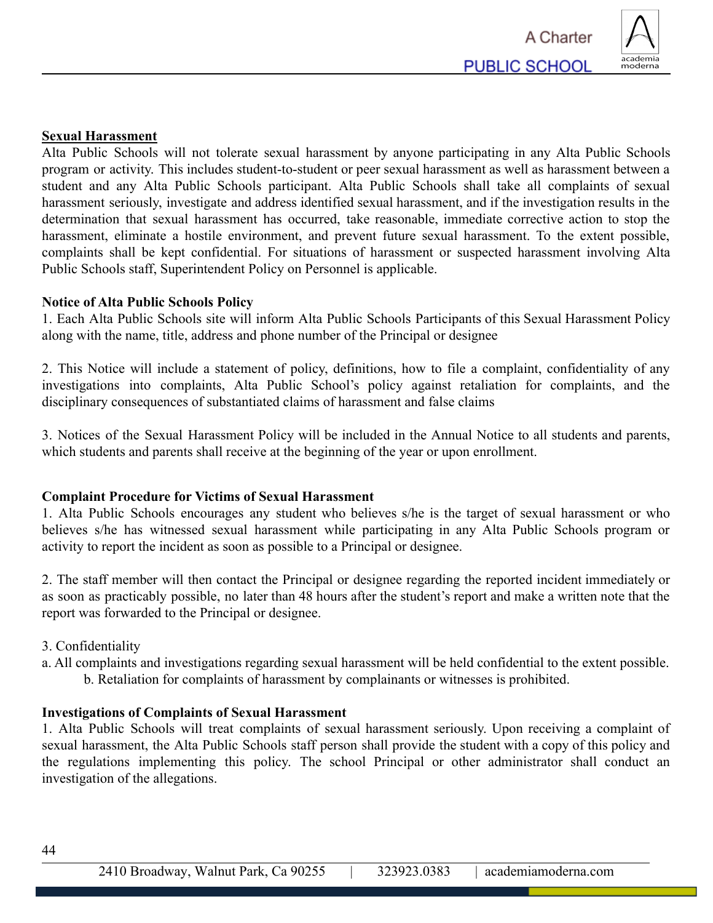

### **Sexual Harassment**

Alta Public Schools will not tolerate sexual harassment by anyone participating in any Alta Public Schools program or activity. This includes student-to-student or peer sexual harassment as well as harassment between a student and any Alta Public Schools participant. Alta Public Schools shall take all complaints of sexual harassment seriously, investigate and address identified sexual harassment, and if the investigation results in the determination that sexual harassment has occurred, take reasonable, immediate corrective action to stop the harassment, eliminate a hostile environment, and prevent future sexual harassment. To the extent possible, complaints shall be kept confidential. For situations of harassment or suspected harassment involving Alta Public Schools staff, Superintendent Policy on Personnel is applicable.

### **Notice of Alta Public Schools Policy**

1. Each Alta Public Schools site will inform Alta Public Schools Participants of this Sexual Harassment Policy along with the name, title, address and phone number of the Principal or designee

2. This Notice will include a statement of policy, definitions, how to file a complaint, confidentiality of any investigations into complaints, Alta Public School's policy against retaliation for complaints, and the disciplinary consequences of substantiated claims of harassment and false claims

3. Notices of the Sexual Harassment Policy will be included in the Annual Notice to all students and parents, which students and parents shall receive at the beginning of the year or upon enrollment.

### **Complaint Procedure for Victims of Sexual Harassment**

1. Alta Public Schools encourages any student who believes s/he is the target of sexual harassment or who believes s/he has witnessed sexual harassment while participating in any Alta Public Schools program or activity to report the incident as soon as possible to a Principal or designee.

2. The staff member will then contact the Principal or designee regarding the reported incident immediately or as soon as practicably possible, no later than 48 hours after the student's report and make a written note that the report was forwarded to the Principal or designee.

- 3. Confidentiality
- a. All complaints and investigations regarding sexual harassment will be held confidential to the extent possible. b. Retaliation for complaints of harassment by complainants or witnesses is prohibited.

#### **Investigations of Complaints of Sexual Harassment**

1. Alta Public Schools will treat complaints of sexual harassment seriously. Upon receiving a complaint of sexual harassment, the Alta Public Schools staff person shall provide the student with a copy of this policy and the regulations implementing this policy. The school Principal or other administrator shall conduct an investigation of the allegations.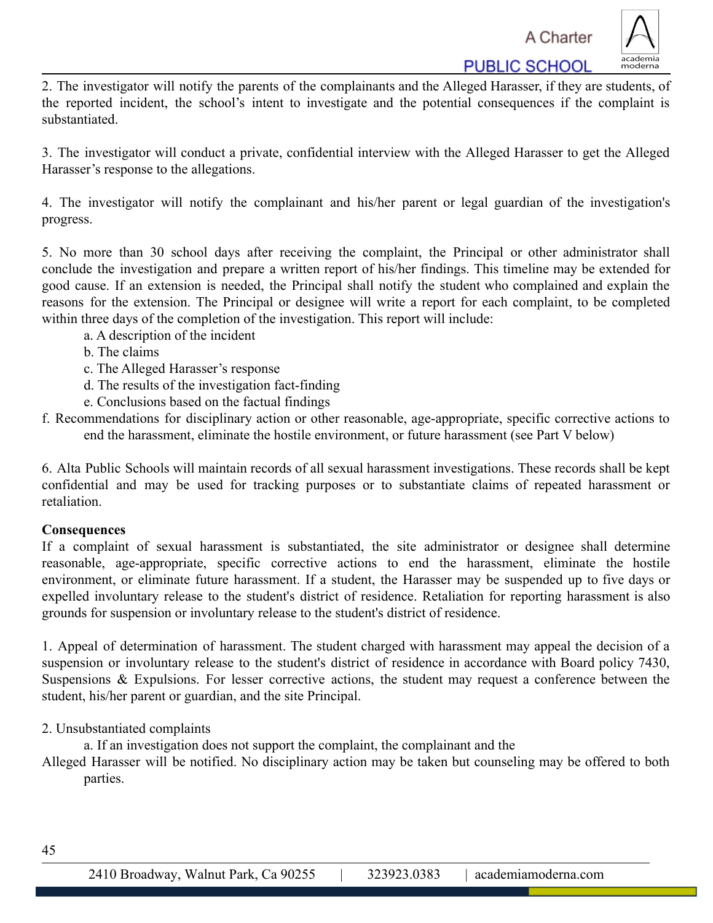**PUBLIC SCHOOL** 



2. The investigator will notify the parents of the complainants and the Alleged Harasser, if they are students, of the reported incident, the school's intent to investigate and the potential consequences if the complaint is substantiated.

3. The investigator will conduct a private, confidential interview with the Alleged Harasser to get the Alleged Harasser's response to the allegations.

4. The investigator will notify the complainant and his/her parent or legal guardian of the investigation's progress.

5. No more than 30 school days after receiving the complaint, the Principal or other administrator shall conclude the investigation and prepare a written report of his/her findings. This timeline may be extended for good cause. If an extension is needed, the Principal shall notify the student who complained and explain the reasons for the extension. The Principal or designee will write a report for each complaint, to be completed within three days of the completion of the investigation. This report will include:

- a. A description of the incident
- b. The claims
- c. The Alleged Harasser's response
- d. The results of the investigation fact-finding
- e. Conclusions based on the factual findings
- f. Recommendations for disciplinary action or other reasonable, age-appropriate, specific corrective actions to end the harassment, eliminate the hostile environment, or future harassment (see Part V below)

6. Alta Public Schools will maintain records of all sexual harassment investigations. These records shall be kept confidential and may be used for tracking purposes or to substantiate claims of repeated harassment or retaliation.

# **Consequences**

If a complaint of sexual harassment is substantiated, the site administrator or designee shall determine reasonable, age-appropriate, specific corrective actions to end the harassment, eliminate the hostile environment, or eliminate future harassment. If a student, the Harasser may be suspended up to five days or expelled involuntary release to the student's district of residence. Retaliation for reporting harassment is also grounds for suspension or involuntary release to the student's district of residence.

1. Appeal of determination of harassment. The student charged with harassment may appeal the decision of a suspension or involuntary release to the student's district of residence in accordance with Board policy 7430, Suspensions & Expulsions. For lesser corrective actions, the student may request a conference between the student, his/her parent or guardian, and the site Principal.

2. Unsubstantiated complaints

a. If an investigation does not support the complaint, the complainant and the

Alleged Harasser will be notified. No disciplinary action may be taken but counseling may be offered to both parties.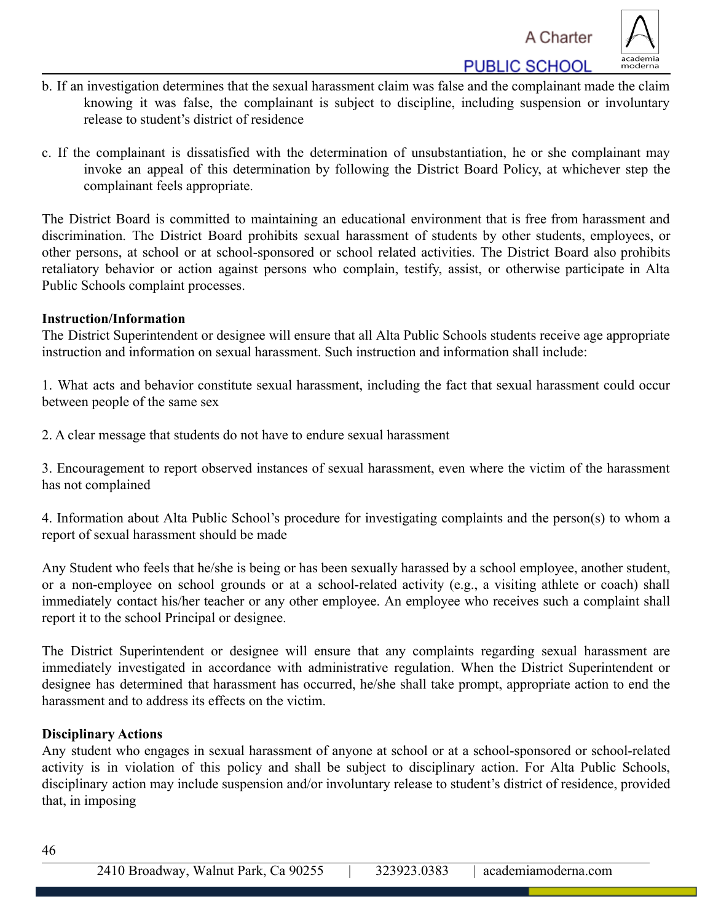**PUBLIC SCHOOL** 



- b. If an investigation determines that the sexual harassment claim was false and the complainant made the claim knowing it was false, the complainant is subject to discipline, including suspension or involuntary release to student's district of residence
- c. If the complainant is dissatisfied with the determination of unsubstantiation, he or she complainant may invoke an appeal of this determination by following the District Board Policy, at whichever step the complainant feels appropriate.

The District Board is committed to maintaining an educational environment that is free from harassment and discrimination. The District Board prohibits sexual harassment of students by other students, employees, or other persons, at school or at school-sponsored or school related activities. The District Board also prohibits retaliatory behavior or action against persons who complain, testify, assist, or otherwise participate in Alta Public Schools complaint processes.

### **Instruction/Information**

The District Superintendent or designee will ensure that all Alta Public Schools students receive age appropriate instruction and information on sexual harassment. Such instruction and information shall include:

1. What acts and behavior constitute sexual harassment, including the fact that sexual harassment could occur between people of the same sex

2. A clear message that students do not have to endure sexual harassment

3. Encouragement to report observed instances of sexual harassment, even where the victim of the harassment has not complained

4. Information about Alta Public School's procedure for investigating complaints and the person(s) to whom a report of sexual harassment should be made

Any Student who feels that he/she is being or has been sexually harassed by a school employee, another student, or a non-employee on school grounds or at a school-related activity (e.g., a visiting athlete or coach) shall immediately contact his/her teacher or any other employee. An employee who receives such a complaint shall report it to the school Principal or designee.

The District Superintendent or designee will ensure that any complaints regarding sexual harassment are immediately investigated in accordance with administrative regulation. When the District Superintendent or designee has determined that harassment has occurred, he/she shall take prompt, appropriate action to end the harassment and to address its effects on the victim.

### **Disciplinary Actions**

Any student who engages in sexual harassment of anyone at school or at a school-sponsored or school-related activity is in violation of this policy and shall be subject to disciplinary action. For Alta Public Schools, disciplinary action may include suspension and/or involuntary release to student's district of residence, provided that, in imposing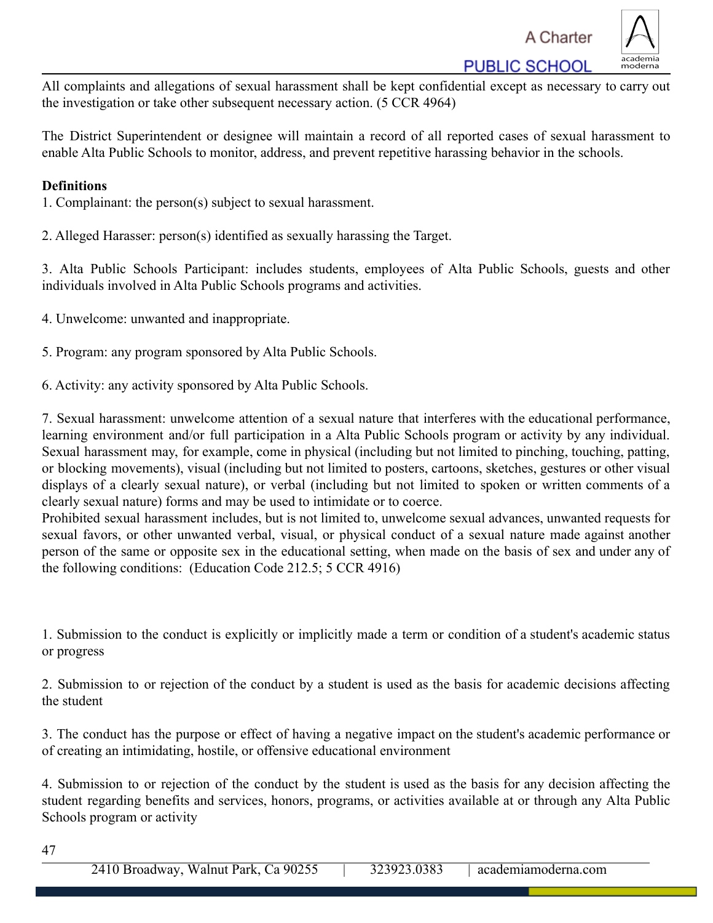A Charter

**PUBLIC SCHOOL** 



All complaints and allegations of sexual harassment shall be kept confidential except as necessary to carry out the investigation or take other subsequent necessary action. (5 CCR 4964)

The District Superintendent or designee will maintain a record of all reported cases of sexual harassment to enable Alta Public Schools to monitor, address, and prevent repetitive harassing behavior in the schools.

## **Definitions**

- 1. Complainant: the person(s) subject to sexual harassment.
- 2. Alleged Harasser: person(s) identified as sexually harassing the Target.

3. Alta Public Schools Participant: includes students, employees of Alta Public Schools, guests and other individuals involved in Alta Public Schools programs and activities.

- 4. Unwelcome: unwanted and inappropriate.
- 5. Program: any program sponsored by Alta Public Schools.
- 6. Activity: any activity sponsored by Alta Public Schools.

7. Sexual harassment: unwelcome attention of a sexual nature that interferes with the educational performance, learning environment and/or full participation in a Alta Public Schools program or activity by any individual. Sexual harassment may, for example, come in physical (including but not limited to pinching, touching, patting, or blocking movements), visual (including but not limited to posters, cartoons, sketches, gestures or other visual displays of a clearly sexual nature), or verbal (including but not limited to spoken or written comments of a clearly sexual nature) forms and may be used to intimidate or to coerce.

Prohibited sexual harassment includes, but is not limited to, unwelcome sexual advances, unwanted requests for sexual favors, or other unwanted verbal, visual, or physical conduct of a sexual nature made against another person of the same or opposite sex in the educational setting, when made on the basis of sex and under any of the following conditions: (Education Code 212.5; 5 CCR 4916)

1. Submission to the conduct is explicitly or implicitly made a term or condition of a student's academic status or progress

2. Submission to or rejection of the conduct by a student is used as the basis for academic decisions affecting the student

3. The conduct has the purpose or effect of having a negative impact on the student's academic performance or of creating an intimidating, hostile, or offensive educational environment

4. Submission to or rejection of the conduct by the student is used as the basis for any decision affecting the student regarding benefits and services, honors, programs, or activities available at or through any Alta Public Schools program or activity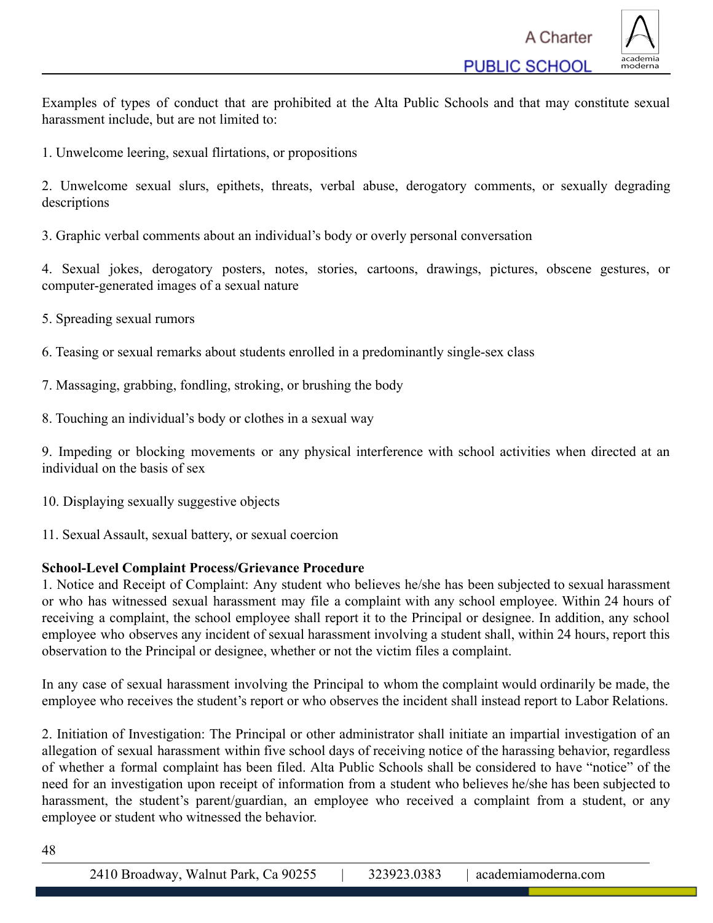

Examples of types of conduct that are prohibited at the Alta Public Schools and that may constitute sexual harassment include, but are not limited to:

1. Unwelcome leering, sexual flirtations, or propositions

2. Unwelcome sexual slurs, epithets, threats, verbal abuse, derogatory comments, or sexually degrading descriptions

3. Graphic verbal comments about an individual's body or overly personal conversation

4. Sexual jokes, derogatory posters, notes, stories, cartoons, drawings, pictures, obscene gestures, or computer-generated images of a sexual nature

- 5. Spreading sexual rumors
- 6. Teasing or sexual remarks about students enrolled in a predominantly single-sex class
- 7. Massaging, grabbing, fondling, stroking, or brushing the body
- 8. Touching an individual's body or clothes in a sexual way

9. Impeding or blocking movements or any physical interference with school activities when directed at an individual on the basis of sex

10. Displaying sexually suggestive objects

11. Sexual Assault, sexual battery, or sexual coercion

### **School-Level Complaint Process/Grievance Procedure**

1. Notice and Receipt of Complaint: Any student who believes he/she has been subjected to sexual harassment or who has witnessed sexual harassment may file a complaint with any school employee. Within 24 hours of receiving a complaint, the school employee shall report it to the Principal or designee. In addition, any school employee who observes any incident of sexual harassment involving a student shall, within 24 hours, report this observation to the Principal or designee, whether or not the victim files a complaint.

In any case of sexual harassment involving the Principal to whom the complaint would ordinarily be made, the employee who receives the student's report or who observes the incident shall instead report to Labor Relations.

2. Initiation of Investigation: The Principal or other administrator shall initiate an impartial investigation of an allegation of sexual harassment within five school days of receiving notice of the harassing behavior, regardless of whether a formal complaint has been filed. Alta Public Schools shall be considered to have "notice" of the need for an investigation upon receipt of information from a student who believes he/she has been subjected to harassment, the student's parent/guardian, an employee who received a complaint from a student, or any employee or student who witnessed the behavior.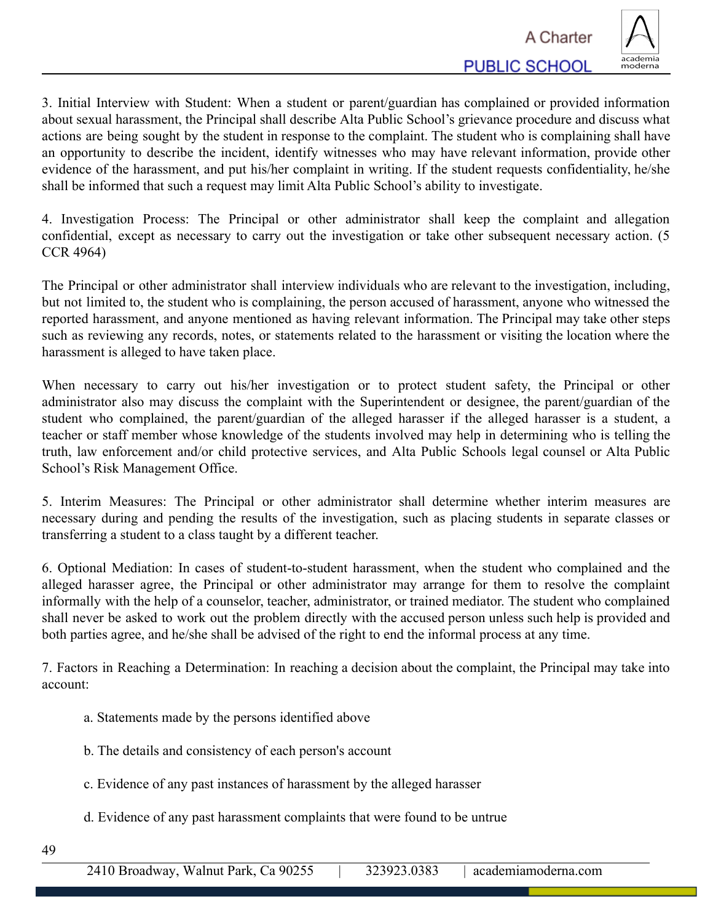

3. Initial Interview with Student: When a student or parent/guardian has complained or provided information about sexual harassment, the Principal shall describe Alta Public School's grievance procedure and discuss what actions are being sought by the student in response to the complaint. The student who is complaining shall have an opportunity to describe the incident, identify witnesses who may have relevant information, provide other evidence of the harassment, and put his/her complaint in writing. If the student requests confidentiality, he/she shall be informed that such a request may limit Alta Public School's ability to investigate.

4. Investigation Process: The Principal or other administrator shall keep the complaint and allegation confidential, except as necessary to carry out the investigation or take other subsequent necessary action. (5 CCR 4964)

The Principal or other administrator shall interview individuals who are relevant to the investigation, including, but not limited to, the student who is complaining, the person accused of harassment, anyone who witnessed the reported harassment, and anyone mentioned as having relevant information. The Principal may take other steps such as reviewing any records, notes, or statements related to the harassment or visiting the location where the harassment is alleged to have taken place.

When necessary to carry out his/her investigation or to protect student safety, the Principal or other administrator also may discuss the complaint with the Superintendent or designee, the parent/guardian of the student who complained, the parent/guardian of the alleged harasser if the alleged harasser is a student, a teacher or staff member whose knowledge of the students involved may help in determining who is telling the truth, law enforcement and/or child protective services, and Alta Public Schools legal counsel or Alta Public School's Risk Management Office.

5. Interim Measures: The Principal or other administrator shall determine whether interim measures are necessary during and pending the results of the investigation, such as placing students in separate classes or transferring a student to a class taught by a different teacher.

6. Optional Mediation: In cases of student-to-student harassment, when the student who complained and the alleged harasser agree, the Principal or other administrator may arrange for them to resolve the complaint informally with the help of a counselor, teacher, administrator, or trained mediator. The student who complained shall never be asked to work out the problem directly with the accused person unless such help is provided and both parties agree, and he/she shall be advised of the right to end the informal process at any time.

7. Factors in Reaching a Determination: In reaching a decision about the complaint, the Principal may take into account:

- a. Statements made by the persons identified above
- b. The details and consistency of each person's account
- c. Evidence of any past instances of harassment by the alleged harasser
- d. Evidence of any past harassment complaints that were found to be untrue
- 49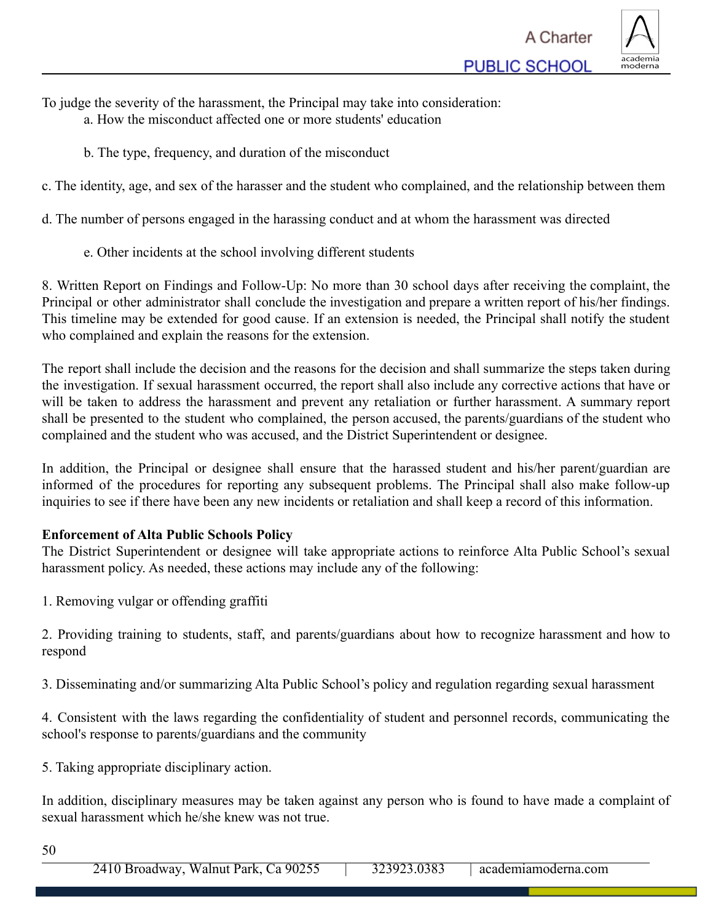

To judge the severity of the harassment, the Principal may take into consideration:

- a. How the misconduct affected one or more students' education
- b. The type, frequency, and duration of the misconduct

c. The identity, age, and sex of the harasser and the student who complained, and the relationship between them

d. The number of persons engaged in the harassing conduct and at whom the harassment was directed

e. Other incidents at the school involving different students

8. Written Report on Findings and Follow-Up: No more than 30 school days after receiving the complaint, the Principal or other administrator shall conclude the investigation and prepare a written report of his/her findings. This timeline may be extended for good cause. If an extension is needed, the Principal shall notify the student who complained and explain the reasons for the extension.

The report shall include the decision and the reasons for the decision and shall summarize the steps taken during the investigation. If sexual harassment occurred, the report shall also include any corrective actions that have or will be taken to address the harassment and prevent any retaliation or further harassment. A summary report shall be presented to the student who complained, the person accused, the parents/guardians of the student who complained and the student who was accused, and the District Superintendent or designee.

In addition, the Principal or designee shall ensure that the harassed student and his/her parent/guardian are informed of the procedures for reporting any subsequent problems. The Principal shall also make follow-up inquiries to see if there have been any new incidents or retaliation and shall keep a record of this information.

# **Enforcement of Alta Public Schools Policy**

The District Superintendent or designee will take appropriate actions to reinforce Alta Public School's sexual harassment policy. As needed, these actions may include any of the following:

1. Removing vulgar or offending graffiti

2. Providing training to students, staff, and parents/guardians about how to recognize harassment and how to respond

3. Disseminating and/or summarizing Alta Public School's policy and regulation regarding sexual harassment

4. Consistent with the laws regarding the confidentiality of student and personnel records, communicating the school's response to parents/guardians and the community

5. Taking appropriate disciplinary action.

In addition, disciplinary measures may be taken against any person who is found to have made a complaint of sexual harassment which he/she knew was not true.